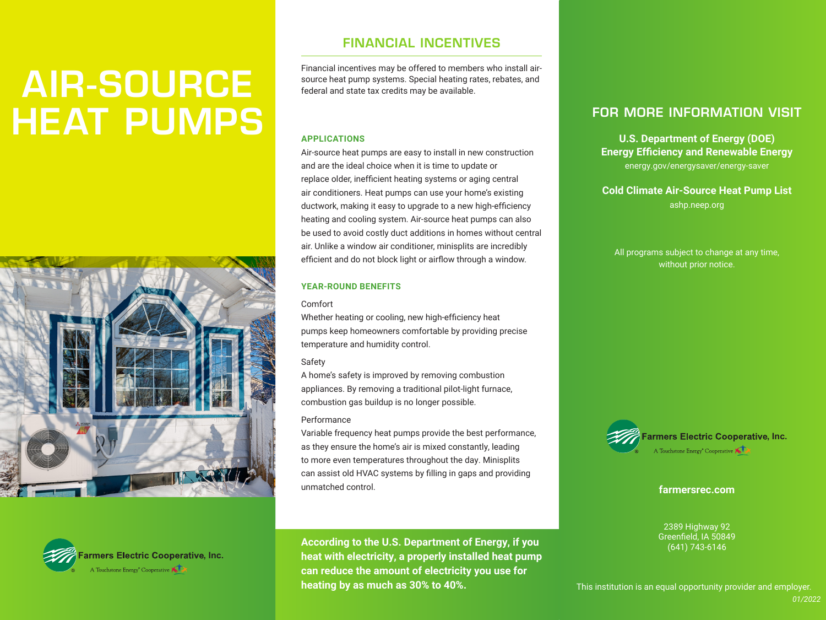# AIR-SOURCE HEAT PUMPS





### FINANCIAL INCENTIVES

Financial incentives may be offered to members who install airsource heat pump systems. Special heating rates, rebates, and federal and state tax credits may be available.

### **APPLICATIONS**

Air-source heat pumps are easy to install in new construction and are the ideal choice when it is time to update or replace older, inefficient heating systems or aging central air conditioners. Heat pumps can use your home's existing ductwork, making it easy to upgrade to a new high-efficiency heating and cooling system. Air-source heat pumps can also be used to avoid costly duct additions in homes without central air. Unlike a window air conditioner, minisplits are incredibly efficient and do not block light or airflow through a window.

### **YEAR-ROUND BENEFITS**

#### Comfort

Whether heating or cooling, new high-efficiency heat pumps keep homeowners comfortable by providing precise temperature and humidity control.

### Safety

A home's safety is improved by removing combustion appliances. By removing a traditional pilot-light furnace, combustion gas buildup is no longer possible.

### Performance

Variable frequency heat pumps provide the best performance, as they ensure the home's air is mixed constantly, leading to more even temperatures throughout the day. Minisplits can assist old HVAC systems by filling in gaps and providing unmatched control.

**According to the U.S. Department of Energy, if you heat with electricity, a properly installed heat pump can reduce the amount of electricity you use for heating by as much as 30% to 40%.**

## FOR MORE INFORMATION VISIT

**U.S. Department of Energy (DOE) Energy Efficiency and Renewable Energy**  energy.gov/energysaver/energy-saver

**Cold Climate Air-Source Heat Pump List** ashp.neep.org

All programs subject to change at any time, without prior notice.



**farmersrec.com**

2389 Highway 92 Greenfield, IA 50849 (641) 743-6146

This institution is an equal opportunity provider and employer.

*01/2022*